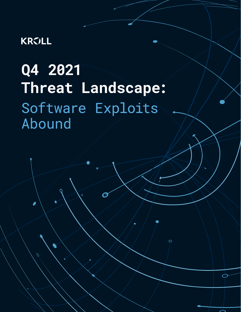# **KRVLL**

 $\overline{\mathcal{O}}$ 

# Q4 2021 Threat Landscape: Software Exploits<br>Abound

 $\overline{Q}$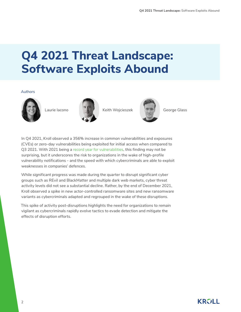# **Q4 2021 Threat Landscape: Software Exploits Abound**

#### Authors





Laurie Iacono Keith Wojcieszek George Glass



In Q4 2021, Kroll observed a 356% increase in common vulnerabilities and exposures (CVEs) or zero-day vulnerabilities being exploited for initial access when compared to Q3 2021. With 2021 being a [record year for vulnerabilities](https://www.redscan.com/news/nist-nvd-analysis-2021-record-vulnerabilities/), this finding may not be surprising, but it underscores the risk to organizations in the wake of high-profile vulnerability notifications - and the speed with which cybercriminals are able to exploit weaknesses in companies' defences.

While significant progress was made during the quarter to disrupt significant cyber groups such as REvil and BlackMatter and multiple dark web markets, cyber threat activity levels did not see a substantial decline. Rather, by the end of December 2021, Kroll observed a spike in new actor-controlled ransomware sites and new ransomware variants as cybercriminals adapted and regrouped in the wake of these disruptions.

This spike of activity post-disruptions highlights the need for organizations to remain vigilant as cybercriminals rapidly evolve tactics to evade detection and mitigate the effects of disruption efforts.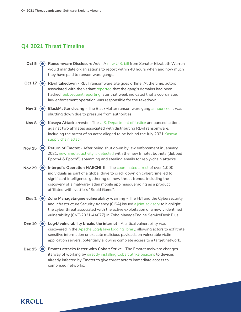## **Q4 2021 Threat Timeline**

| Oct 5            | Ransomware Disclosure Act - A new U.S. bill from Senator Elizabeth Warren<br>would mandate organizations to report within 48 hours when and how much<br>they have paid to ransomware gangs.                                                                                                                                                 |
|------------------|---------------------------------------------------------------------------------------------------------------------------------------------------------------------------------------------------------------------------------------------------------------------------------------------------------------------------------------------|
| <b>Oct 17</b>    | <b>REvil takedown</b> - REvil ransomware site goes offline. At the time, actors<br>associated with the variant reported that the gang's domains had been<br>hacked. Subsequent reporting later that week indicated that a coordinated<br>law enforcement operation was responsible for the takedown.                                        |
| Nov <sub>3</sub> | BlackMatter closing - The BlackMatter ransomware gang announced it was<br>shutting down due to pressure from authorities.                                                                                                                                                                                                                   |
| Nov 8            | Kaseya Attack arrests - The U.S. Department of Justice announced actions<br>against two affiliates associated with distributing REvil ransomware,<br>including the arrest of an actor alleged to be behind the July 2021 Kaseya<br>supply chain attack.                                                                                     |
| <b>Nov 15</b>    | Return of Emotet - After being shut down by law enforcement in January<br>2021, new Emotet activity is detected with the new Emotet botnets (dubbed<br>Epoch4 & Epoch5) spamming and stealing emails for reply-chain attacks.                                                                                                               |
| <b>Nov 29</b>    | Interpol's Operation HAECHI-II - The coordinated arrest of over 1,000<br>individuals as part of a global drive to crack down on cybercrime led to<br>significant intelligence-gathering on new threat trends, including the<br>discovery of a malware-laden mobile app masquerading as a product<br>affiliated with Netflix's "Squid Game". |
| Dec <sub>2</sub> | Zoho ManageEngine vulnerability warning - The FBI and the Cybersecurity<br>and Infrastructure Security Agency (CISA) issued a joint advisory to highlight<br>the cyber threat associated with the active exploitation of a newly identified<br>vulnerability (CVE-2021-44077) in Zoho ManageEngine ServiceDesk Plus.                        |
| <b>Dec 10</b>    | Log4J vulnerability breaks the internet - A critical vulnerability was<br>discovered in the Apache Log4j Java logging library, allowing actors to exfiltrate<br>sensitive information or execute malicious payloads on vulnerable victim<br>application servers, potentially allowing complete access to a target network.                  |
| <b>Dec 15</b>    | Emotet attacks faster with Cobalt Strike - The Emotet malware changes<br>its way of working by directly installing Cobalt Strike beacons to devices<br>already infected by Emotet to give threat actors immediate access to<br>comprised networks.                                                                                          |

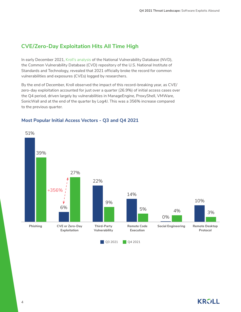## **CVE/Zero-Day Exploitation Hits All Time High**

In early December 2021, [Kroll's analysis](https://www.redscan.com/news/nist-nvd-analysis-2021-record-vulnerabilities/) of the National Vulnerability Database (NVD), the Common Vulnerability Database (CVD) repository of the U.S. National Institute of Standards and Technology, revealed that 2021 officially broke the record for common vulnerabilities and exposures (CVEs) logged by researchers.

By the end of December, Kroll observed the impact of this record-breaking year, as CVE/ zero-day exploitation accounted for just over a quarter (26.9%) of initial access cases over the Q4 period, driven largely by vulnerabilities in ManageEngine, ProxyShell, VMWare, SonicWall and at the end of the quarter by Log4J. This was a 356% increase compared to the previous quarter.



#### **Most Popular Initial Access Vectors - Q3 and Q4 2021**

**KRVLL**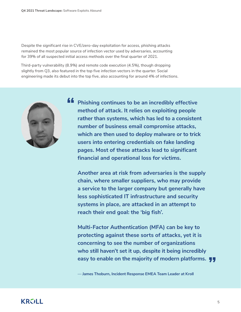Despite the significant rise in CVE/zero-day exploitation for access, phishing attacks remained the most popular source of infection vector used by adversaries, accounting for 39% of all suspected initial access methods over the final quarter of 2021.

Third-party vulnerability (8.9%) and remote code execution (4.5%), though dropping slightly from Q3, also featured in the top five infection vectors in the quarter. Social engineering made its debut into the top five, also accounting for around 4% of infections.



**ff** Phishing continues to be an incredibly effective **method of attack. It relies on exploiting people rather than systems, which has led to a consistent number of business email compromise attacks, which are then used to deploy malware or to trick users into entering credentials on fake landing pages. Most of these attacks lead to significant financial and operational loss for victims.**

**Another area at risk from adversaries is the supply chain, where smaller suppliers, who may provide a service to the larger company but generally have less sophisticated IT infrastructure and security systems in place, are attacked in an attempt to reach their end goal: the 'big fish'.**

tac<br>gar<br>bei **Multi-Factor Authentication (MFA) can be key to protecting against these sorts of attacks, yet it is concerning to see the number of organizations who still haven't set it up, despite it being incredibly easy to enable on the majority of modern platforms. JJ** 

— **James Thoburn, Incident Response EMEA Team Leader at Kroll**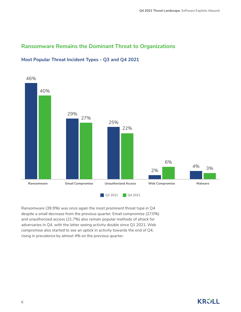## **Ransomware Remains the Dominant Threat to Organizations**



## **Most Popular Threat Incident Types - Q3 and Q4 2021**

Ransomware (39.9%) was once again the most prominent threat type in Q4 despite a small decrease from the previous quarter. Email compromise (27.0%) and unauthorized access (21.7%) also remain popular methods of attack for adversaries in Q4, with the latter seeing activity double since Q1 2021. Web compromise also started to see an uptick in activity towards the end of Q4, rising in prevalence by almost 4% on the previous quarter.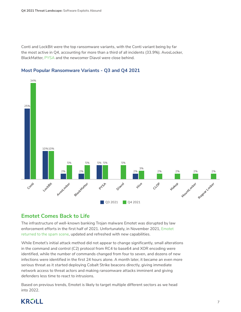Conti and LockBit were the top ransomware variants, with the Conti variant being by far the most active in Q4, accounting for more than a third of all incidents (33.9%). AvosLocker, BlackMatter, [PYSA](https://www.kroll.com/en/insights/publications/cyber/monitor/deep-dive-into-pysa-ransomware) and the newcomer Diavol were close behind.





#### **Emotet Comes Back to Life**

The infrastructure of well-known banking Trojan malware Emotet was disrupted by law enforcement efforts in the first half of 2021. Unfortunately, in November 2021, [Emotet](https://www.redscan.com/news/emotet-returns-5-key-questions-to-answer/)  [returned to the spam scene](https://www.redscan.com/news/emotet-returns-5-key-questions-to-answer/), updated and refreshed with new capabilities.

While Emotet's initial attack method did not appear to change significantly, small alterations in the command and control (C2) protocol from RC4 to base64 and XOR encoding were identified, while the number of commands changed from four to seven, and dozens of new infections were identified in the first 24 hours alone. A month later, it became an even more serious threat as it started deploying Cobalt Strike beacons directly, giving immediate network access to threat actors and making ransomware attacks imminent and giving defenders less time to react to intrusions.

Based on previous trends, Emotet is likely to target multiple different sectors as we head into 2022.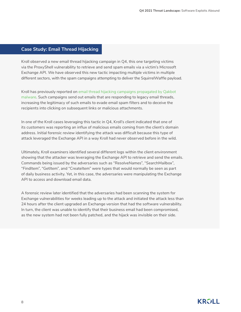#### **Case Study: Email Thread Hijacking**

Kroll observed a new email thread hijacking campaign in Q4, this one targeting victims via the ProxyShell vulnerability to retrieve and send spam emails via a victim's Microsoft Exchange API. We have observed this new tactic impacting multiple victims in multiple different sectors, with the spam campaigns attempting to deliver the SquirrelWaffle payload.

Kroll has previously reported on [email thread hijacking campaigns propagated by Qakbot](https://www.kroll.com/en/insights/publications/cyber/qakbot-malware-exfiltrating-emails-thread-hijacking-attacks)  [malware](https://www.kroll.com/en/insights/publications/cyber/qakbot-malware-exfiltrating-emails-thread-hijacking-attacks). Such campaigns send out emails that are responding to legacy email threads, increasing the legitimacy of such emails to evade email spam filters and to deceive the recipients into clicking on subsequent links or malicious attachments.

In one of the Kroll cases leveraging this tactic in Q4, Kroll's client indicated that one of its customers was reporting an influx of malicious emails coming from the client's domain address. Initial forensic review identifying the attack was difficult because this type of attack leveraged the Exchange API in a way Kroll had never observed before in the wild.

Ultimately, Kroll examiners identified several different logs within the client environment showing that the attacker was leveraging the Exchange API to retrieve and send the emails. Commands being issued by the adversaries such as "ResolveNames", "SearchMailbox", "FindItem", "GetItem", and "CreateItem" were types that would normally be seen as part of daily business activity. Yet, in this case, the adversaries were manipulating the Exchange API to access and download email data.

A forensic review later identified that the adversaries had been scanning the system for Exchange vulnerabilities for weeks leading up to the attack and initiated the attack less than 24 hours after the client upgraded an Exchange version that had the software vulnerability. In turn, the client was unable to identify that their business email had been compromised, as the new system had not been fully patched, and the hijack was invisible on their side.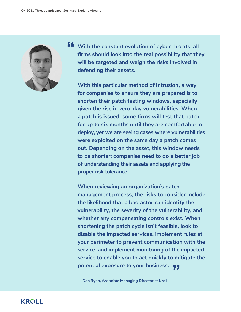

**"** With the constant evolution of cyber threats, all **firms should look into the real possibility that they will be targeted and weigh the risks involved in defending their assets.**

**With this particular method of intrusion, a way for companies to ensure they are prepared is to shorten their patch testing windows, especially given the rise in zero-day vulnerabilities. When a patch is issued, some firms will test that patch for up to six months until they are comfortable to deploy, yet we are seeing cases where vulnerabilities were exploited on the same day a patch comes out. Depending on the asset, this window needs to be shorter; companies need to do a better job of understanding their assets and applying the proper risk tolerance.** 

**When reviewing an organization's patch management process, the risks to consider include the likelihood that a bad actor can identify the vulnerability, the severity of the vulnerability, and whether any compensating controls exist. When shortening the patch cycle isn't feasible, look to disable the impacted services, implement rules at your perimeter to prevent communication with the service, and implement monitoring of the impacted service to enable you to act quickly to mitigate the potential exposure to your business.** 

— **Dan Ryan, Associate Managing Director at Kroll**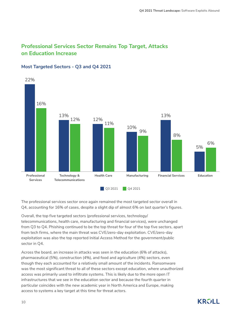## **Professional Services Sector Remains Top Target, Attacks on Education Increase**



#### **Most Targeted Sectors - Q3 and Q4 2021**

The professional services sector once again remained the most targeted sector overall in Q4, accounting for 16% of cases, despite a slight dip of almost 6% on last quarter's figures.

Overall, the top five targeted sectors (professional services, technology/ telecommunications, health care, manufacturing and financial services), were unchanged from Q3 to Q4. Phishing continued to be the top threat for four of the top five sectors, apart from tech firms, where the main threat was CVE/zero-day exploitation. CVE/zero-day exploitation was also the top reported Initial Access Method for the government/public sector in Q4.

Across the board, an increase in attacks was seen in the education (6% of attacks), pharmaceutical (5%), construction (4%), and food and agriculture (4%) sectors, even though they each accounted for a relatively small amount of the incidents. Ransomware was the most significant threat to all of these sectors except education, where unauthorized access was primarily used to infiltrate systems. This is likely due to the more open IT infrastructures that we see in the education sector and because the fourth quarter in particular coincides with the new academic year in North America and Europe, making access to systems a key target at this time for threat actors.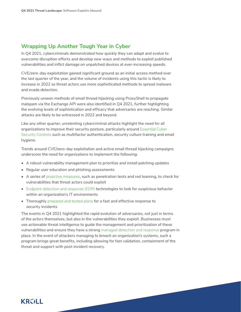### **Wrapping Up Another Tough Year in Cyber**

In Q4 2021, cybercriminals demonstrated how quickly they can adapt and evolve to overcome disruption efforts and develop new ways and methods to exploit published vulnerabilities and inflict damage on unpatched devices at ever-increasing speeds.

CVE/zero-day exploitation gained significant ground as an initial access method over the last quarter of the year, and the volume of incidents using this tactic is likely to increase in 2022 as threat actors use more sophisticated methods to spread malware and evade detection.

Previously unseen methods of email thread hijacking using ProxyShell to propagate malspam via the Exchange API were also identified in Q4 2021, further highlighting the evolving levels of sophistication and efficacy that adversaries are reaching. Similar attacks are likely to be witnessed in 2022 and beyond.

Like any other quarter, unrelenting cybercriminal attacks highlight the need for all organizations to improve their security posture, particularly around [Essential Cyber](https://www.kroll.com/en/insights/publications/cyber/10-essential-cyber-security-controls)  [Security Controls](https://www.kroll.com/en/insights/publications/cyber/10-essential-cyber-security-controls) such as multifactor authentication, security culture training and email hygiene.

Trends around CVE/zero-day exploitation and active email thread hijacking campaigns underscore the need for organizations to implement the following:

- A robust vulnerability management plan to prioritize and install patching updates
- Regular user education and phishing assessments
- A series of [proactive measures](https://www.kroll.com/en/services/cyber-risk/assessments-testing), such as penetration tests and red teaming, to check for vulnerabilities that threat actors could exploit
- [Endpoint detection and response \(EDR\)](https://www.kroll.com/en/services/cyber-risk/managed-security/endpoint-detection-and-response) technologies to look for suspicious behavior within an organization's IT environments
- Thoroughly [prepared and tested plans](https://www.kroll.com/en/services/cyber-risk/governance-advisory/incident-response-tabletop-exercises) for a fast and effective response to security incidents

The events in Q4 2021 highlighted the rapid evolution of adversaries, not just in terms of the actors themselves, but also in the vulnerabilities they exploit. Businesses must use actionable threat intelligence to guide the management and prioritization of these vulnerabilities and ensure they have a strong [managed detection and response](https://www.kroll.com/en/services/cyber-risk/managed-security/kroll-responder) program in place. In the event of attackers managing to breach an organization's systems, such a program brings great benefits, including allowing for fast validation, containment of the threat and support with post-incident recovery.